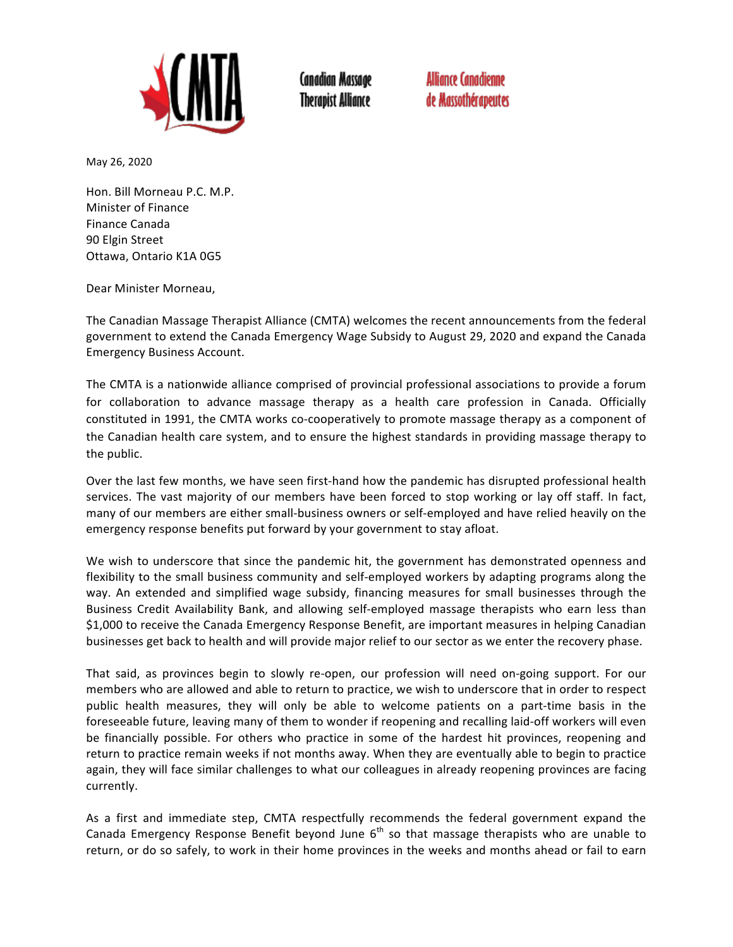

**Canadian Massage Therapist Alliance**  **Alliance Canadienne** de Massothérapeutes

May 26, 2020

Hon. Bill Morneau P.C. M.P. Minister of Finance Finance Canada 90 Elgin Street Ottawa, Ontario K1A 0G5

Dear Minister Morneau,

The Canadian Massage Therapist Alliance (CMTA) welcomes the recent announcements from the federal government to extend the Canada Emergency Wage Subsidy to August 29, 2020 and expand the Canada Emergency Business Account.

The CMTA is a nationwide alliance comprised of provincial professional associations to provide a forum for collaboration to advance massage therapy as a health care profession in Canada. Officially constituted in 1991, the CMTA works co-cooperatively to promote massage therapy as a component of the Canadian health care system, and to ensure the highest standards in providing massage therapy to the public.

Over the last few months, we have seen first-hand how the pandemic has disrupted professional health services. The vast majority of our members have been forced to stop working or lay off staff. In fact, many of our members are either small-business owners or self-employed and have relied heavily on the emergency response benefits put forward by your government to stay afloat.

We wish to underscore that since the pandemic hit, the government has demonstrated openness and flexibility to the small business community and self-employed workers by adapting programs along the way. An extended and simplified wage subsidy, financing measures for small businesses through the Business Credit Availability Bank, and allowing self-employed massage therapists who earn less than \$1,000 to receive the Canada Emergency Response Benefit, are important measures in helping Canadian businesses get back to health and will provide major relief to our sector as we enter the recovery phase.

That said, as provinces begin to slowly re-open, our profession will need on-going support. For our members who are allowed and able to return to practice, we wish to underscore that in order to respect public health measures, they will only be able to welcome patients on a part-time basis in the foreseeable future, leaving many of them to wonder if reopening and recalling laid-off workers will even be financially possible. For others who practice in some of the hardest hit provinces, reopening and return to practice remain weeks if not months away. When they are eventually able to begin to practice again, they will face similar challenges to what our colleagues in already reopening provinces are facing currently. 

As a first and immediate step, CMTA respectfully recommends the federal government expand the Canada Emergency Response Benefit beyond June  $6<sup>th</sup>$  so that massage therapists who are unable to return, or do so safely, to work in their home provinces in the weeks and months ahead or fail to earn